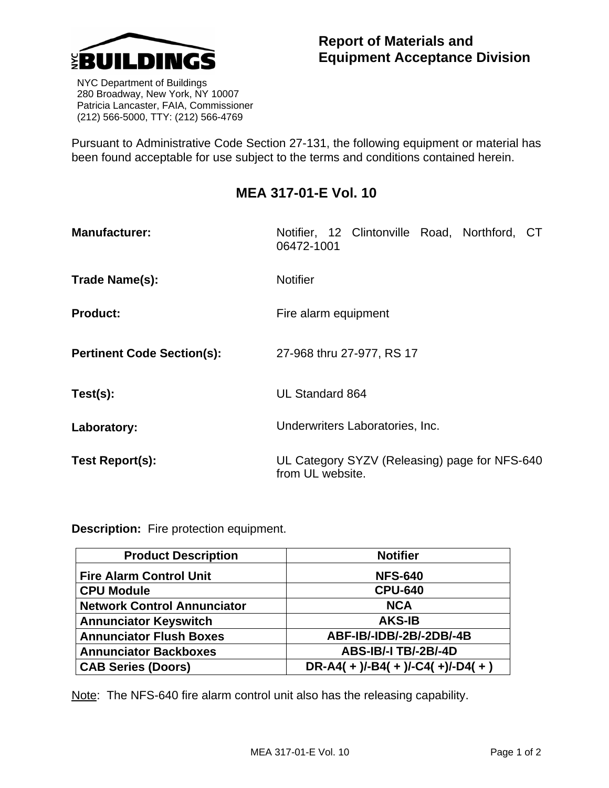

 NYC Department of Buildings 280 Broadway, New York, NY 10007 Patricia Lancaster, FAIA, Commissioner (212) 566-5000, TTY: (212) 566-4769

Pursuant to Administrative Code Section 27-131, the following equipment or material has been found acceptable for use subject to the terms and conditions contained herein.

## **MEA 317-01-E Vol. 10**

| <b>Manufacturer:</b>              | Notifier, 12 Clintonville Road, Northford, CT<br>06472-1001       |
|-----------------------------------|-------------------------------------------------------------------|
| Trade Name(s):                    | <b>Notifier</b>                                                   |
| <b>Product:</b>                   | Fire alarm equipment                                              |
| <b>Pertinent Code Section(s):</b> | 27-968 thru 27-977, RS 17                                         |
| Test(s):                          | UL Standard 864                                                   |
| Laboratory:                       | Underwriters Laboratories, Inc.                                   |
| Test Report(s):                   | UL Category SYZV (Releasing) page for NFS-640<br>from UL website. |

**Description:** Fire protection equipment.

| <b>Product Description</b>         | <b>Notifier</b>                 |
|------------------------------------|---------------------------------|
| <b>Fire Alarm Control Unit</b>     | <b>NFS-640</b>                  |
| <b>CPU Module</b>                  | <b>CPU-640</b>                  |
| <b>Network Control Annunciator</b> | <b>NCA</b>                      |
| <b>Annunciator Keyswitch</b>       | <b>AKS-IB</b>                   |
| <b>Annunciator Flush Boxes</b>     | ABF-IB/-IDB/-2B/-2DB/-4B        |
| <b>Annunciator Backboxes</b>       | <b>ABS-IB/-I TB/-2B/-4D</b>     |
| <b>CAB Series (Doors)</b>          | $DR-A4(+)/-B4(+)/-C4(+)/-D4(+)$ |

Note: The NFS-640 fire alarm control unit also has the releasing capability.